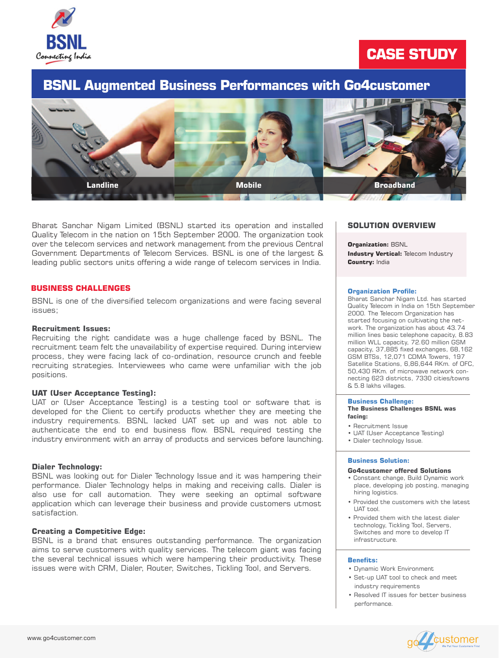

# **CASE STUDY**

Bharat Sanchar Nigam Limited (BSNL) started its operation and installed Quality Telecom in the nation on 15th September 2000. The organization took over the telecom services and network management from the previous Central Government Departments of Telecom Services. BSNL is one of the largest & leading public sectors units offering a wide range of telecom services in India.

BSNL is one of the diversified telecom organizations and were facing several issues;

#### **Recruitment Issues:**

Recruiting the right candidate was a huge challenge faced by BSNL. The recruitment team felt the unavailability of expertise required. During interview process, they were facing lack of co-ordination, resource crunch and feeble recruiting strategies. Interviewees who came were unfamiliar with the job positions.

#### **UAT (User Acceptance Testing):**

**Industry Vertical: Telecom Industry Country:** India



UAT or (User Acceptance Testing) is a testing tool or software that is developed for the Client to certify products whether they are meeting the industry requirements. BSNL lacked UAT set up and was not able to authenticate the end to end business flow. BSNL required testing the industry environment with an array of products and services before launching.

#### **Dialer Technology:**

BSNL was looking out for Dialer Technology Issue and it was hampering their performance. Dialer Technology helps in making and receiving calls. Dialer is also use for call automation. They were seeking an optimal software application which can leverage their business and provide customers utmost satisfaction.

## **Creating a Competitive Edge:**

BSNL is a brand that ensures outstanding performance. The organization aims to serve customers with quality services. The telecom giant was facing the several technical issues which were hampering their productivity. These issues were with CRM, Dialer, Router, Switches, Tickling Tool, and Servers.

## **SOLUTION OVERVIEW**

#### **Organization:** BSNL

## **BUSINESS CHALLENGES**

## **BSNL Augmented Business Performances with Go4customer**

#### **Organization Profile:**

Bharat Sanchar Nigam Ltd. has started Quality Telecom in India on 15th September 2000. The Telecom Organization has started focusing on cultivating the network. The organization has about 43.74 million lines basic telephone capacity, 8.83 million WLL capacity, 72.60 million GSM capacity, 37,885 fixed exchanges, 68,162 GSM BTSs, 12,071 CDMA Towers, 197 Satellite Stations, 6,86,644 RKm. of OFC, 50,430 RKm. of microwave network connecting 623 districts, 7330 cities/towns & 5.8 lakhs villages.

#### **Business Challenge:**

#### **The Business Challenges BSNL was facing:**

- Recruitment Issue
- UAT (User Acceptance Testing)
- Dialer technology Issue.

#### **Business Solution:**

#### **Go4customer offered Solutions**

• Constant change, Build Dynamic work place, developing job posting, managing hiring logistics.

- Provided the customers with the latest UAT tool.
- Provided them with the latest dialer technology, Tickling Tool, Servers, Switches and more to develop IT infrastructure.

- Dynamic Work Environment
- Set-up UAT tool to check and meet industry requirements
- Resolved IT issues for better business performance.



#### **Benefits:**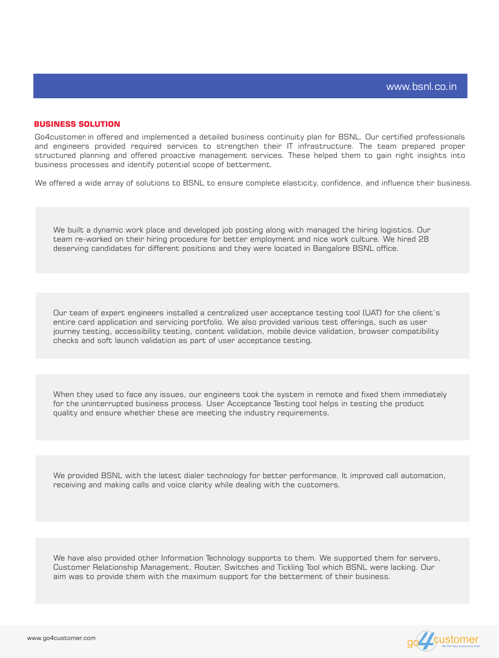Go4customer.in offered and implemented a detailed business continuity plan for BSNL. Our certified professionals and engineers provided required services to strengthen their IT infrastructure. The team prepared proper structured planning and offered proactive management services. These helped them to gain right insights into business processes and identify potential scope of betterment.

We built a dynamic work place and developed job posting along with managed the hiring logistics. Our team re-worked on their hiring procedure for better employment and nice work culture. We hired 28 deserving candidates for different positions and they were located in Bangalore BSNL office.

We offered a wide array of solutions to BSNL to ensure complete elasticity, confidence, and influence their business.

## **BUSINESS SOLUTION**

We provided BSNL with the latest dialer technology for better performance. It improved call automation, receiving and making calls and voice clarity while dealing with the customers.

We have also provided other Information Technology supports to them. We supported them for servers, Customer Relationship Management, Router, Switches and Tickling Tool which BSNL were lacking. Our aim was to provide them with the maximum support for the betterment of their business.



Our team of expert engineers installed a centralized user acceptance testing tool (UAT) for the client's entire card application and servicing portfolio. We also provided various test offerings, such as user journey testing, accessibility testing, content validation, mobile device validation, browser compatibility checks and soft launch validation as part of user acceptance testing.

When they used to face any issues, our engineers took the system in remote and fixed them immediately for the uninterrupted business process. User Acceptance Testing tool helps in testing the product quality and ensure whether these are meeting the industry requirements.

www.go4customer.com